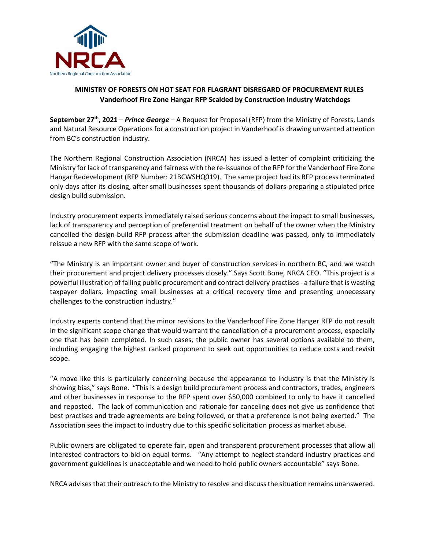

## **MINISTRY OF FORESTS ON HOT SEAT FOR FLAGRANT DISREGARD OF PROCUREMENT RULES Vanderhoof Fire Zone Hangar RFP Scalded by Construction Industry Watchdogs**

**September 27 th, 2021** – *Prince George* – A Request for Proposal (RFP) from the Ministry of Forests, Lands and Natural Resource Operations for a construction project in Vanderhoof is drawing unwanted attention from BC's construction industry.

The Northern Regional Construction Association (NRCA) has issued a letter of complaint criticizing the Ministry for lack of transparency and fairness with the re-issuance of the RFP for the Vanderhoof Fire Zone Hangar Redevelopment (RFP Number: 21BCWSHQ019). The same project had its RFP process terminated only days after its closing, after small businesses spent thousands of dollars preparing a stipulated price design build submission.

Industry procurement experts immediately raised serious concerns about the impact to small businesses, lack of transparency and perception of preferential treatment on behalf of the owner when the Ministry cancelled the design-build RFP process after the submission deadline was passed, only to immediately reissue a new RFP with the same scope of work.

"The Ministry is an important owner and buyer of construction services in northern BC, and we watch their procurement and project delivery processes closely." Says Scott Bone, NRCA CEO. "This project is a powerful illustration of failing public procurement and contract delivery practises- a failure that is wasting taxpayer dollars, impacting small businesses at a critical recovery time and presenting unnecessary challenges to the construction industry."

Industry experts contend that the minor revisions to the Vanderhoof Fire Zone Hanger RFP do not result in the significant scope change that would warrant the cancellation of a procurement process, especially one that has been completed. In such cases, the public owner has several options available to them, including engaging the highest ranked proponent to seek out opportunities to reduce costs and revisit scope.

"A move like this is particularly concerning because the appearance to industry is that the Ministry is showing bias," says Bone. "This is a design build procurement process and contractors, trades, engineers and other businesses in response to the RFP spent over \$50,000 combined to only to have it cancelled and reposted. The lack of communication and rationale for canceling does not give us confidence that best practises and trade agreements are being followed, or that a preference is not being exerted." The Association sees the impact to industry due to this specific solicitation process as market abuse.

Public owners are obligated to operate fair, open and transparent procurement processes that allow all interested contractors to bid on equal terms. "Any attempt to neglect standard industry practices and government guidelines is unacceptable and we need to hold public owners accountable" says Bone.

NRCA advises that their outreach to the Ministry to resolve and discuss the situation remains unanswered.